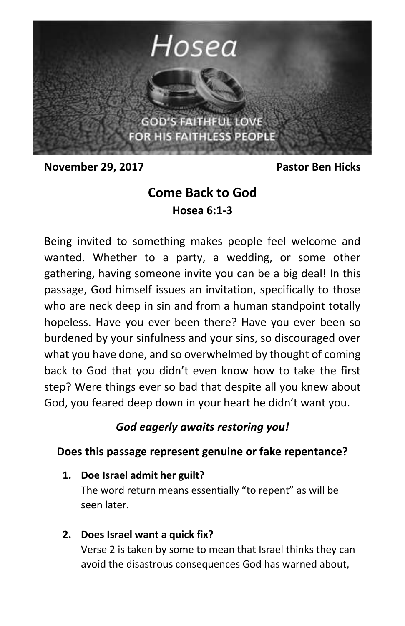

**November 29, 2017** Pastor Ben Hicks

# **Come Back to God Hosea 6:1-3**

Being invited to something makes people feel welcome and wanted. Whether to a party, a wedding, or some other gathering, having someone invite you can be a big deal! In this passage, God himself issues an invitation, specifically to those who are neck deep in sin and from a human standpoint totally hopeless. Have you ever been there? Have you ever been so burdened by your sinfulness and your sins, so discouraged over what you have done, and so overwhelmed by thought of coming back to God that you didn't even know how to take the first step? Were things ever so bad that despite all you knew about God, you feared deep down in your heart he didn't want you.

### *God eagerly awaits restoring you!*

### **Does this passage represent genuine or fake repentance?**

**1. Doe Israel admit her guilt?**

The word return means essentially "to repent" as will be seen later.

**2. Does Israel want a quick fix?**

Verse 2 is taken by some to mean that Israel thinks they can avoid the disastrous consequences God has warned about,